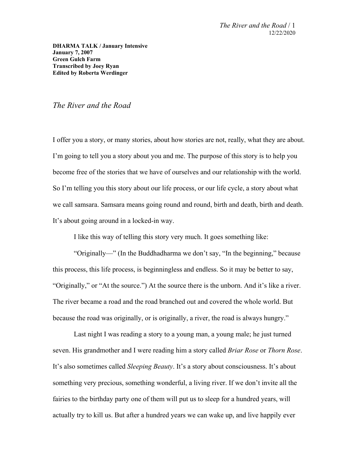**DHARMA TALK / January Intensive January 7, 2007 Green Gulch Farm Transcribed by Joey Ryan Edited by Roberta Werdinger**

## *The River and the Road*

I offer you a story, or many stories, about how stories are not, really, what they are about. I'm going to tell you a story about you and me. The purpose of this story is to help you become free of the stories that we have of ourselves and our relationship with the world. So I'm telling you this story about our life process, or our life cycle, a story about what we call samsara. Samsara means going round and round, birth and death, birth and death. It's about going around in a locked-in way.

I like this way of telling this story very much. It goes something like:

"Originally—" (In the Buddhadharma we don't say, "In the beginning," because this process, this life process, is beginningless and endless. So it may be better to say, "Originally," or "At the source.") At the source there is the unborn. And it's like a river. The river became a road and the road branched out and covered the whole world. But because the road was originally, or is originally, a river, the road is always hungry."

Last night I was reading a story to a young man, a young male; he just turned seven. His grandmother and I were reading him a story called *Briar Rose* or *Thorn Rose*. It's also sometimes called *Sleeping Beauty*. It's a story about consciousness. It's about something very precious, something wonderful, a living river. If we don't invite all the fairies to the birthday party one of them will put us to sleep for a hundred years, will actually try to kill us. But after a hundred years we can wake up, and live happily ever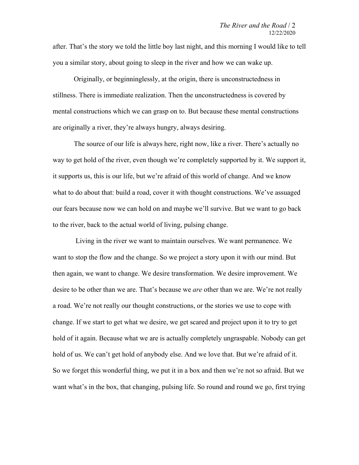after. That's the story we told the little boy last night, and this morning I would like to tell you a similar story, about going to sleep in the river and how we can wake up.

Originally, or beginninglessly, at the origin, there is unconstructedness in stillness. There is immediate realization. Then the unconstructedness is covered by mental constructions which we can grasp on to. But because these mental constructions are originally a river, they're always hungry, always desiring.

The source of our life is always here, right now, like a river. There's actually no way to get hold of the river, even though we're completely supported by it. We support it, it supports us, this is our life, but we're afraid of this world of change. And we know what to do about that: build a road, cover it with thought constructions. We've assuaged our fears because now we can hold on and maybe we'll survive. But we want to go back to the river, back to the actual world of living, pulsing change.

 Living in the river we want to maintain ourselves. We want permanence. We want to stop the flow and the change. So we project a story upon it with our mind. But then again, we want to change. We desire transformation. We desire improvement. We desire to be other than we are. That's because we *are* other than we are. We're not really a road. We're not really our thought constructions, or the stories we use to cope with change. If we start to get what we desire, we get scared and project upon it to try to get hold of it again. Because what we are is actually completely ungraspable. Nobody can get hold of us. We can't get hold of anybody else. And we love that. But we're afraid of it. So we forget this wonderful thing, we put it in a box and then we're not so afraid. But we want what's in the box, that changing, pulsing life. So round and round we go, first trying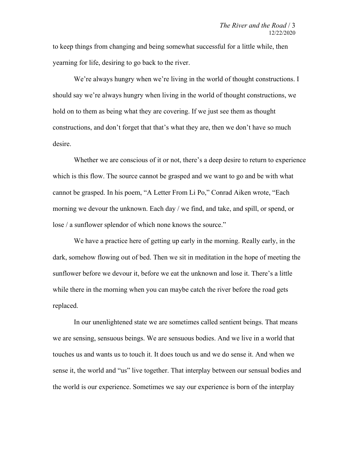to keep things from changing and being somewhat successful for a little while, then yearning for life, desiring to go back to the river.

We're always hungry when we're living in the world of thought constructions. I should say we're always hungry when living in the world of thought constructions, we hold on to them as being what they are covering. If we just see them as thought constructions, and don't forget that that's what they are, then we don't have so much desire.

Whether we are conscious of it or not, there's a deep desire to return to experience which is this flow. The source cannot be grasped and we want to go and be with what cannot be grasped. In his poem, "A Letter From Li Po," Conrad Aiken wrote, "Each morning we devour the unknown. Each day / we find, and take, and spill, or spend, or lose / a sunflower splendor of which none knows the source."

We have a practice here of getting up early in the morning. Really early, in the dark, somehow flowing out of bed. Then we sit in meditation in the hope of meeting the sunflower before we devour it, before we eat the unknown and lose it. There's a little while there in the morning when you can maybe catch the river before the road gets replaced.

In our unenlightened state we are sometimes called sentient beings. That means we are sensing, sensuous beings. We are sensuous bodies. And we live in a world that touches us and wants us to touch it. It does touch us and we do sense it. And when we sense it, the world and "us" live together. That interplay between our sensual bodies and the world is our experience. Sometimes we say our experience is born of the interplay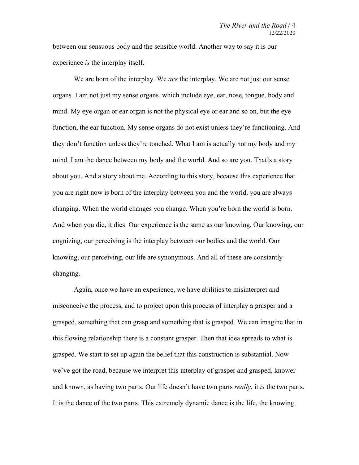between our sensuous body and the sensible world. Another way to say it is our experience *is* the interplay itself.

We are born of the interplay. We *are* the interplay. We are not just our sense organs. I am not just my sense organs, which include eye, ear, nose, tongue, body and mind. My eye organ or ear organ is not the physical eye or ear and so on, but the eye function, the ear function. My sense organs do not exist unless they're functioning. And they don't function unless they're touched. What I am is actually not my body and my mind. I am the dance between my body and the world. And so are you. That's a story about you. And a story about me. According to this story, because this experience that you are right now is born of the interplay between you and the world, you are always changing. When the world changes you change. When you're born the world is born. And when you die, it dies. Our experience is the same as our knowing. Our knowing, our cognizing, our perceiving is the interplay between our bodies and the world. Our knowing, our perceiving, our life are synonymous. And all of these are constantly changing.

Again, once we have an experience, we have abilities to misinterpret and misconceive the process, and to project upon this process of interplay a grasper and a grasped, something that can grasp and something that is grasped. We can imagine that in this flowing relationship there is a constant grasper. Then that idea spreads to what is grasped. We start to set up again the belief that this construction is substantial. Now we've got the road, because we interpret this interplay of grasper and grasped, knower and known, as having two parts. Our life doesn't have two parts *really*, it *is* the two parts. It is the dance of the two parts. This extremely dynamic dance is the life, the knowing.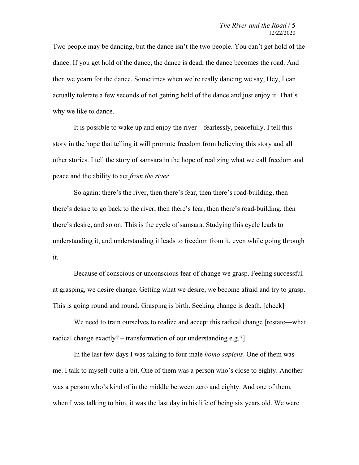Two people may be dancing, but the dance isn't the two people. You can't get hold of the dance. If you get hold of the dance, the dance is dead, the dance becomes the road. And then we yearn for the dance. Sometimes when we're really dancing we say, Hey, I can actually tolerate a few seconds of not getting hold of the dance and just enjoy it. That's why we like to dance.

It is possible to wake up and enjoy the river—fearlessly, peacefully. I tell this story in the hope that telling it will promote freedom from believing this story and all other stories. I tell the story of samsara in the hope of realizing what we call freedom and peace and the ability to act *from the river.*

So again: there's the river, then there's fear, then there's road-building, then there's desire to go back to the river, then there's fear, then there's road-building, then there's desire, and so on. This is the cycle of samsara. Studying this cycle leads to understanding it, and understanding it leads to freedom from it, even while going through it.

Because of conscious or unconscious fear of change we grasp. Feeling successful at grasping, we desire change. Getting what we desire, we become afraid and try to grasp. This is going round and round. Grasping is birth. Seeking change is death. [check]

We need to train ourselves to realize and accept this radical change [restate—what radical change exactly? – transformation of our understanding e.g.?]

In the last few days I was talking to four male *homo sapiens*. One of them was me. I talk to myself quite a bit. One of them was a person who's close to eighty. Another was a person who's kind of in the middle between zero and eighty. And one of them, when I was talking to him, it was the last day in his life of being six years old. We were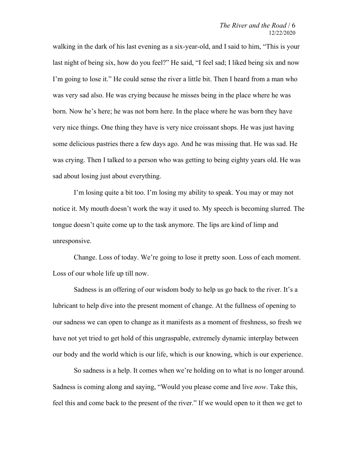walking in the dark of his last evening as a six-year-old, and I said to him, "This is your last night of being six, how do you feel?" He said, "I feel sad; I liked being six and now I'm going to lose it." He could sense the river a little bit. Then I heard from a man who was very sad also. He was crying because he misses being in the place where he was born. Now he's here; he was not born here. In the place where he was born they have very nice things. One thing they have is very nice croissant shops. He was just having some delicious pastries there a few days ago. And he was missing that. He was sad. He was crying. Then I talked to a person who was getting to being eighty years old. He was sad about losing just about everything.

I'm losing quite a bit too. I'm losing my ability to speak. You may or may not notice it. My mouth doesn't work the way it used to. My speech is becoming slurred. The tongue doesn't quite come up to the task anymore. The lips are kind of limp and unresponsive.

Change. Loss of today. We're going to lose it pretty soon. Loss of each moment. Loss of our whole life up till now.

Sadness is an offering of our wisdom body to help us go back to the river. It's a lubricant to help dive into the present moment of change. At the fullness of opening to our sadness we can open to change as it manifests as a moment of freshness, so fresh we have not yet tried to get hold of this ungraspable, extremely dynamic interplay between our body and the world which is our life, which is our knowing, which is our experience.

So sadness is a help. It comes when we're holding on to what is no longer around. Sadness is coming along and saying, "Would you please come and live *now*. Take this, feel this and come back to the present of the river." If we would open to it then we get to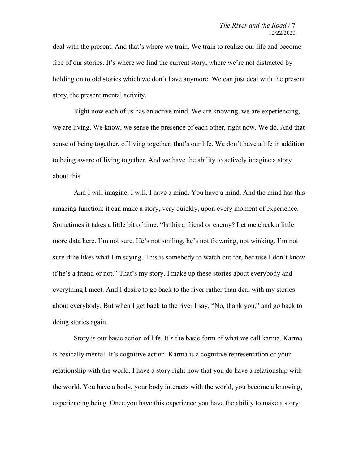deal with the present. And that's where we train. We train to realize our life and become free of our stories. It's where we find the current story, where we're not distracted by holding on to old stories which we don't have anymore. We can just deal with the present story, the present mental activity.

Right now each of us has an active mind. We are knowing, we are experiencing, we are living. We know, we sense the presence of each other, right now. We do. And that sense of being together, of living together, that's our life. We don't have a life in addition to being aware of living together. And we have the ability to actively imagine a story about this.

And I will imagine, I will. I have a mind. You have a mind. And the mind has this amazing function: it can make a story, very quickly, upon every moment of experience. Sometimes it takes a little bit of time. "Is this a friend or enemy? Let me check a little more data here. I'm not sure. He's not smiling, he's not frowning, not winking. I'm not sure if he likes what I'm saying. This is somebody to watch out for, because I don't know if he's a friend or not." That's my story. I make up these stories about everybody and everything I meet. And I desire to go back to the river rather than deal with my stories about everybody. But when I get back to the river I say, "No, thank you," and go back to doing stories again.

Story is our basic action of life. It's the basic form of what we call karma. Karma is basically mental. It's cognitive action. Karma is a cognitive representation of your relationship with the world. I have a story right now that you do have a relationship with the world. You have a body, your body interacts with the world, you become a knowing, experiencing being. Once you have this experience you have the ability to make a story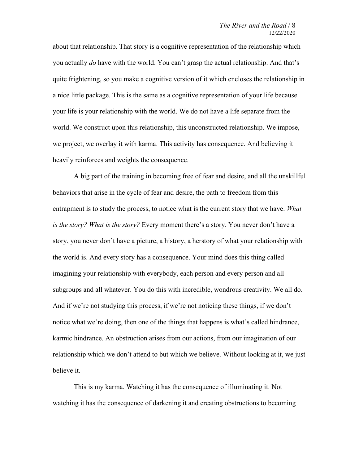about that relationship. That story is a cognitive representation of the relationship which you actually *do* have with the world. You can't grasp the actual relationship. And that's quite frightening, so you make a cognitive version of it which encloses the relationship in a nice little package. This is the same as a cognitive representation of your life because your life is your relationship with the world. We do not have a life separate from the world. We construct upon this relationship, this unconstructed relationship. We impose, we project, we overlay it with karma. This activity has consequence. And believing it heavily reinforces and weights the consequence.

A big part of the training in becoming free of fear and desire, and all the unskillful behaviors that arise in the cycle of fear and desire, the path to freedom from this entrapment is to study the process, to notice what is the current story that we have. *What is the story? What is the story?* Every moment there's a story. You never don't have a story, you never don't have a picture, a history, a herstory of what your relationship with the world is. And every story has a consequence. Your mind does this thing called imagining your relationship with everybody, each person and every person and all subgroups and all whatever. You do this with incredible, wondrous creativity. We all do. And if we're not studying this process, if we're not noticing these things, if we don't notice what we're doing, then one of the things that happens is what's called hindrance, karmic hindrance. An obstruction arises from our actions, from our imagination of our relationship which we don't attend to but which we believe. Without looking at it, we just believe it.

This is my karma. Watching it has the consequence of illuminating it. Not watching it has the consequence of darkening it and creating obstructions to becoming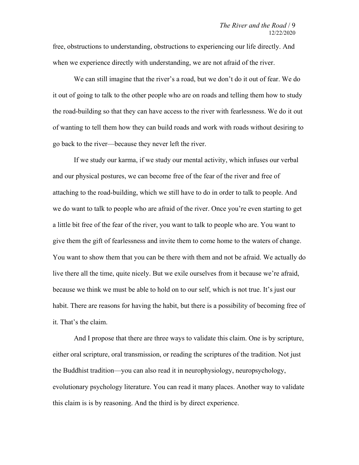free, obstructions to understanding, obstructions to experiencing our life directly. And when we experience directly with understanding, we are not afraid of the river.

We can still imagine that the river's a road, but we don't do it out of fear. We do it out of going to talk to the other people who are on roads and telling them how to study the road-building so that they can have access to the river with fearlessness. We do it out of wanting to tell them how they can build roads and work with roads without desiring to go back to the river—because they never left the river.

If we study our karma, if we study our mental activity, which infuses our verbal and our physical postures, we can become free of the fear of the river and free of attaching to the road-building, which we still have to do in order to talk to people. And we do want to talk to people who are afraid of the river. Once you're even starting to get a little bit free of the fear of the river, you want to talk to people who are. You want to give them the gift of fearlessness and invite them to come home to the waters of change. You want to show them that you can be there with them and not be afraid. We actually do live there all the time, quite nicely. But we exile ourselves from it because we're afraid, because we think we must be able to hold on to our self, which is not true. It's just our habit. There are reasons for having the habit, but there is a possibility of becoming free of it. That's the claim.

And I propose that there are three ways to validate this claim. One is by scripture, either oral scripture, oral transmission, or reading the scriptures of the tradition. Not just the Buddhist tradition—you can also read it in neurophysiology, neuropsychology, evolutionary psychology literature. You can read it many places. Another way to validate this claim is is by reasoning. And the third is by direct experience.